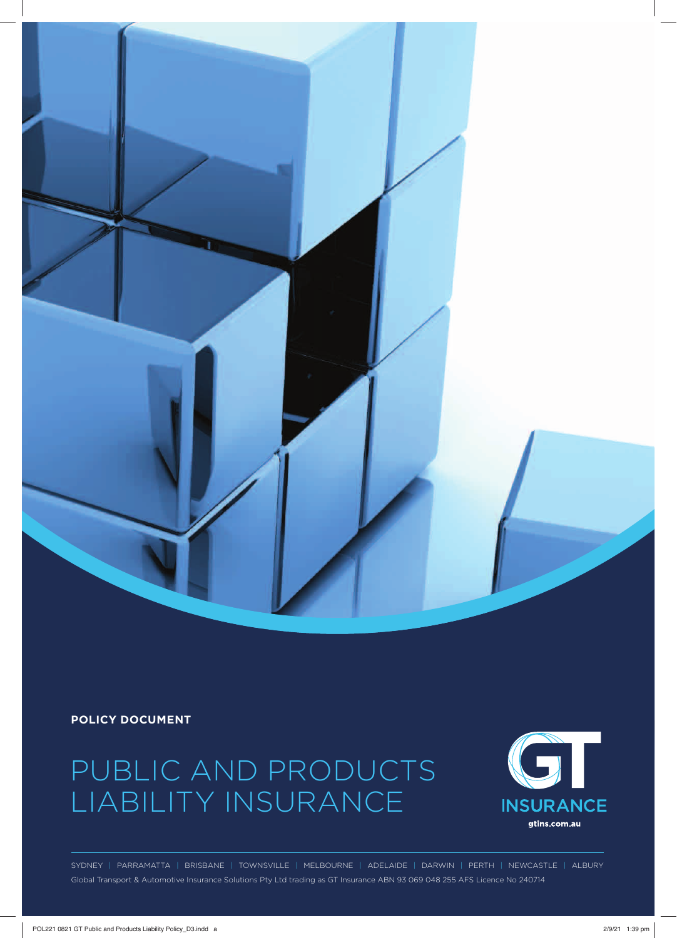

#### **POLICY DOCUMENT**

# PUBLIC AND PRODUCTS LIABILITY INSURANCE



SYDNEY | PARRAMATTA | BRISBANE | TOWNSVILLE | MELBOURNE | ADELAIDE | DARWIN | PERTH | NEWCASTLE | ALBURY Global Transport & Automotive Insurance Solutions Pty Ltd trading as GT Insurance ABN 93 069 048 255 AFS Licence No 240714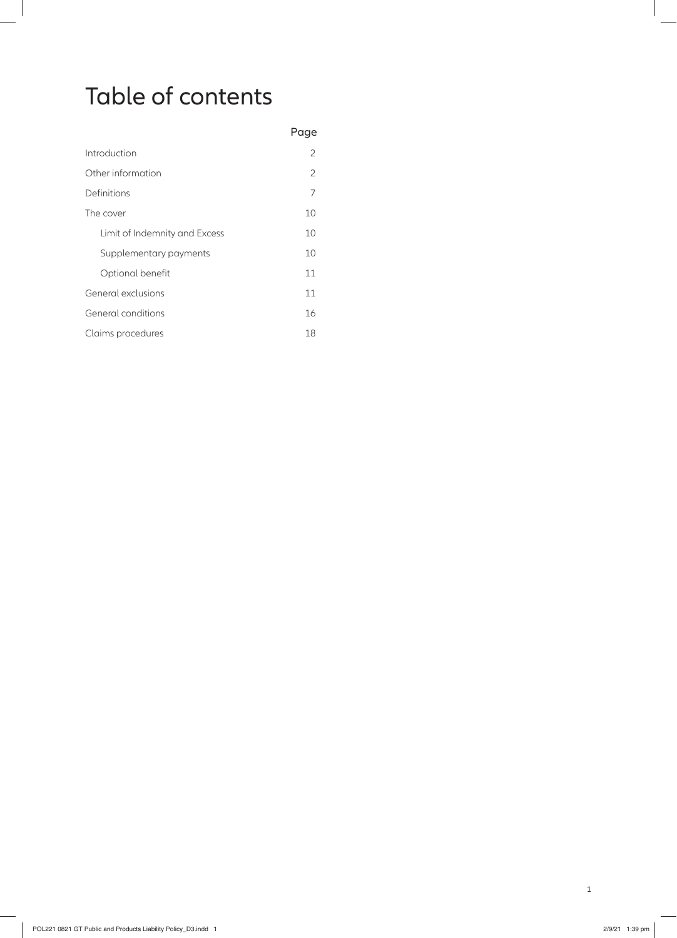# Table of contents

|                               | Page |
|-------------------------------|------|
| Introduction                  | 2    |
| Other information             | 2    |
| Definitions                   | 7    |
| The cover                     | 10   |
| Limit of Indemnity and Excess | 10   |
| Supplementary payments        | 10   |
| Optional benefit              | 11   |
| General exclusions            | 11   |
| General conditions            | 16   |
| Claims procedures             | 18   |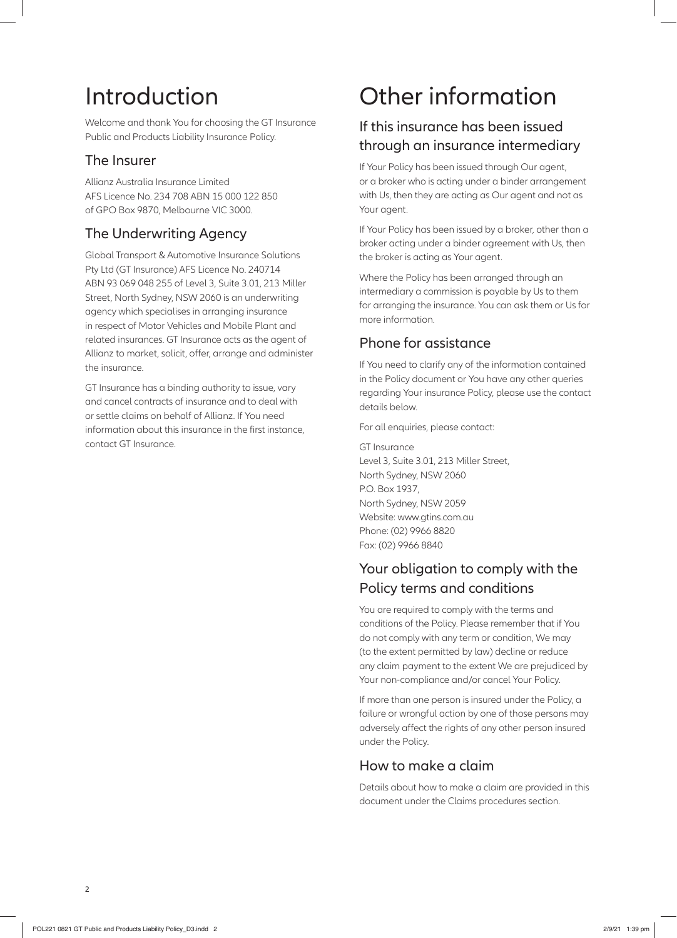# Introduction

Welcome and thank You for choosing the GT Insurance Public and Products Liability Insurance Policy.

## The Insurer

Allianz Australia Insurance Limited AFS Licence No. 234 708 ABN 15 000 122 850 of GPO Box 9870, Melbourne VIC 3000.

## The Underwriting Agency

Global Transport & Automotive Insurance Solutions Pty Ltd (GT Insurance) AFS Licence No. 240714 ABN 93 069 048 255 of Level 3, Suite 3.01, 213 Miller Street, North Sydney, NSW 2060 is an underwriting agency which specialises in arranging insurance in respect of Motor Vehicles and Mobile Plant and related insurances. GT Insurance acts as the agent of Allianz to market, solicit, offer, arrange and administer the insurance.

GT Insurance has a binding authority to issue, vary and cancel contracts of insurance and to deal with or settle claims on behalf of Allianz. If You need information about this insurance in the first instance contact GT Insurance.

# Other information

## If this insurance has been issued through an insurance intermediary

If Your Policy has been issued through Our agent, or a broker who is acting under a binder arrangement with Us, then they are acting as Our agent and not as Your agent.

If Your Policy has been issued by a broker, other than a broker acting under a binder agreement with Us, then the broker is acting as Your agent.

Where the Policy has been arranged through an intermediary a commission is payable by Us to them for arranging the insurance. You can ask them or Us for more information.

## Phone for assistance

If You need to clarify any of the information contained in the Policy document or You have any other queries regarding Your insurance Policy, please use the contact details below.

For all enquiries, please contact:

GT Insurance Level 3, Suite 3.01, 213 Miller Street, North Sydney, NSW 2060 P.O. Box 1937, North Sydney, NSW 2059 Website: www.gtins.com.au Phone: (02) 9966 8820 Fax: (02) 9966 8840

## Your obligation to comply with the Policy terms and conditions

You are required to comply with the terms and conditions of the Policy. Please remember that if You do not comply with any term or condition, We may (to the extent permitted by law) decline or reduce any claim payment to the extent We are prejudiced by Your non-compliance and/or cancel Your Policy.

If more than one person is insured under the Policy, a failure or wrongful action by one of those persons may adversely affect the rights of any other person insured under the Policy.

## How to make a claim

Details about how to make a claim are provided in this document under the Claims procedures section.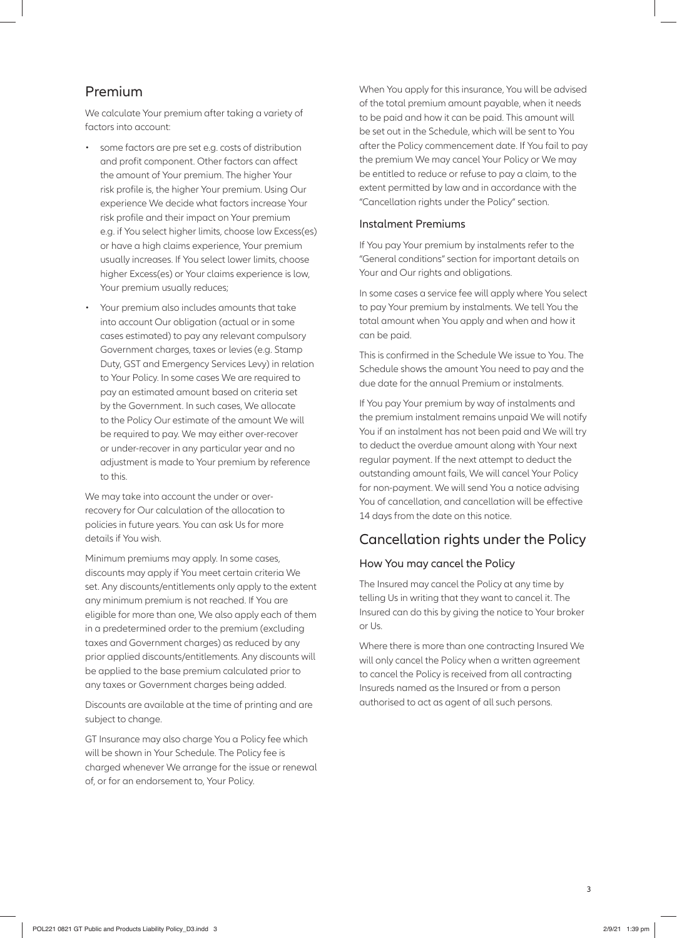### Premium

We calculate Your premium after taking a variety of factors into account:

- some factors are pre set e.g. costs of distribution and profit component. Other factors can affect the amount of Your premium. The higher Your risk profile is, the higher Your premium. Using Our experience We decide what factors increase Your risk profile and their impact on Your premium e.g. if You select higher limits, choose low Excess(es) or have a high claims experience, Your premium usually increases. If You select lower limits, choose higher Excess(es) or Your claims experience is low, Your premium usually reduces;
- Your premium also includes amounts that take into account Our obligation (actual or in some cases estimated) to pay any relevant compulsory Government charges, taxes or levies (e.g. Stamp Duty, GST and Emergency Services Levy) in relation to Your Policy. In some cases We are required to pay an estimated amount based on criteria set by the Government. In such cases, We allocate to the Policy Our estimate of the amount We will be required to pay. We may either over-recover or under-recover in any particular year and no adjustment is made to Your premium by reference to this.

We may take into account the under or overrecovery for Our calculation of the allocation to policies in future years. You can ask Us for more details if You wish.

Minimum premiums may apply. In some cases, discounts may apply if You meet certain criteria We set. Any discounts/entitlements only apply to the extent any minimum premium is not reached. If You are eligible for more than one, We also apply each of them in a predetermined order to the premium (excluding taxes and Government charges) as reduced by any prior applied discounts/entitlements. Any discounts will be applied to the base premium calculated prior to any taxes or Government charges being added.

Discounts are available at the time of printing and are subject to change.

GT Insurance may also charge You a Policy fee which will be shown in Your Schedule. The Policy fee is charged whenever We arrange for the issue or renewal of, or for an endorsement to, Your Policy.

When You apply for this insurance, You will be advised of the total premium amount payable, when it needs to be paid and how it can be paid. This amount will be set out in the Schedule, which will be sent to You after the Policy commencement date. If You fail to pay the premium We may cancel Your Policy or We may be entitled to reduce or refuse to pay a claim, to the extent permitted by law and in accordance with the "Cancellation rights under the Policy" section.

#### Instalment Premiums

If You pay Your premium by instalments refer to the "General conditions" section for important details on Your and Our rights and obligations.

In some cases a service fee will apply where You select to pay Your premium by instalments. We tell You the total amount when You apply and when and how it can be paid.

This is confirmed in the Schedule We issue to You. The Schedule shows the amount You need to pay and the due date for the annual Premium or instalments.

If You pay Your premium by way of instalments and the premium instalment remains unpaid We will notify You if an instalment has not been paid and We will try to deduct the overdue amount along with Your next regular payment. If the next attempt to deduct the outstanding amount fails, We will cancel Your Policy for non-payment. We will send You a notice advising You of cancellation, and cancellation will be effective 14 days from the date on this notice.

### Cancellation rights under the Policy

#### How You may cancel the Policy

The Insured may cancel the Policy at any time by telling Us in writing that they want to cancel it. The Insured can do this by giving the notice to Your broker or Us.

Where there is more than one contracting Insured We will only cancel the Policy when a written agreement to cancel the Policy is received from all contracting Insureds named as the Insured or from a person authorised to act as agent of all such persons.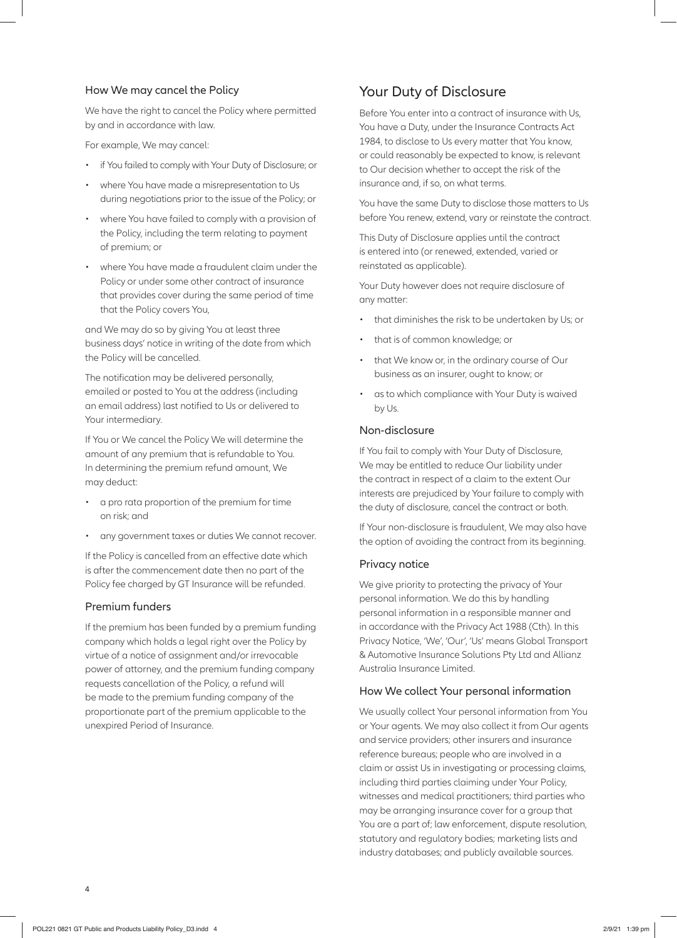#### How We may cancel the Policy

We have the right to cancel the Policy where permitted by and in accordance with law.

For example, We may cancel:

- if You failed to comply with Your Duty of Disclosure; or
- where You have made a misrepresentation to Us during negotiations prior to the issue of the Policy; or
- where You have failed to comply with a provision of the Policy, including the term relating to payment of premium; or
- where You have made a fraudulent claim under the Policy or under some other contract of insurance that provides cover during the same period of time that the Policy covers You,

and We may do so by giving You at least three business days' notice in writing of the date from which the Policy will be cancelled.

The notification may be delivered personally, emailed or posted to You at the address (including an email address) last notified to Us or delivered to Your intermediary.

If You or We cancel the Policy We will determine the amount of any premium that is refundable to You. In determining the premium refund amount, We may deduct:

- a pro rata proportion of the premium for time on risk; and
- any government taxes or duties We cannot recover.

If the Policy is cancelled from an effective date which is after the commencement date then no part of the Policy fee charged by GT Insurance will be refunded.

#### Premium funders

If the premium has been funded by a premium funding company which holds a legal right over the Policy by virtue of a notice of assignment and/or irrevocable power of attorney, and the premium funding company requests cancellation of the Policy, a refund will be made to the premium funding company of the proportionate part of the premium applicable to the unexpired Period of Insurance.

### Your Duty of Disclosure

Before You enter into a contract of insurance with Us, You have a Duty, under the Insurance Contracts Act 1984, to disclose to Us every matter that You know, or could reasonably be expected to know, is relevant to Our decision whether to accept the risk of the insurance and, if so, on what terms.

You have the same Duty to disclose those matters to Us before You renew, extend, vary or reinstate the contract.

This Duty of Disclosure applies until the contract is entered into (or renewed, extended, varied or reinstated as applicable).

Your Duty however does not require disclosure of any matter:

- that diminishes the risk to be undertaken by Us; or
- that is of common knowledge; or
- that We know or, in the ordinary course of Our business as an insurer, ought to know; or
- as to which compliance with Your Duty is waived by Us.

#### Non-disclosure

If You fail to comply with Your Duty of Disclosure, We may be entitled to reduce Our liability under the contract in respect of a claim to the extent Our interests are prejudiced by Your failure to comply with the duty of disclosure, cancel the contract or both.

If Your non-disclosure is fraudulent, We may also have the option of avoiding the contract from its beginning.

#### Privacy notice

We give priority to protecting the privacy of Your personal information. We do this by handling personal information in a responsible manner and in accordance with the Privacy Act 1988 (Cth). In this Privacy Notice, 'We', 'Our', 'Us' means Global Transport & Automotive Insurance Solutions Pty Ltd and Allianz Australia Insurance Limited.

#### How We collect Your personal information

We usually collect Your personal information from You or Your agents. We may also collect it from Our agents and service providers; other insurers and insurance reference bureaus; people who are involved in a claim or assist Us in investigating or processing claims, including third parties claiming under Your Policy, witnesses and medical practitioners; third parties who may be arranging insurance cover for a group that You are a part of; law enforcement, dispute resolution, statutory and regulatory bodies; marketing lists and industry databases; and publicly available sources.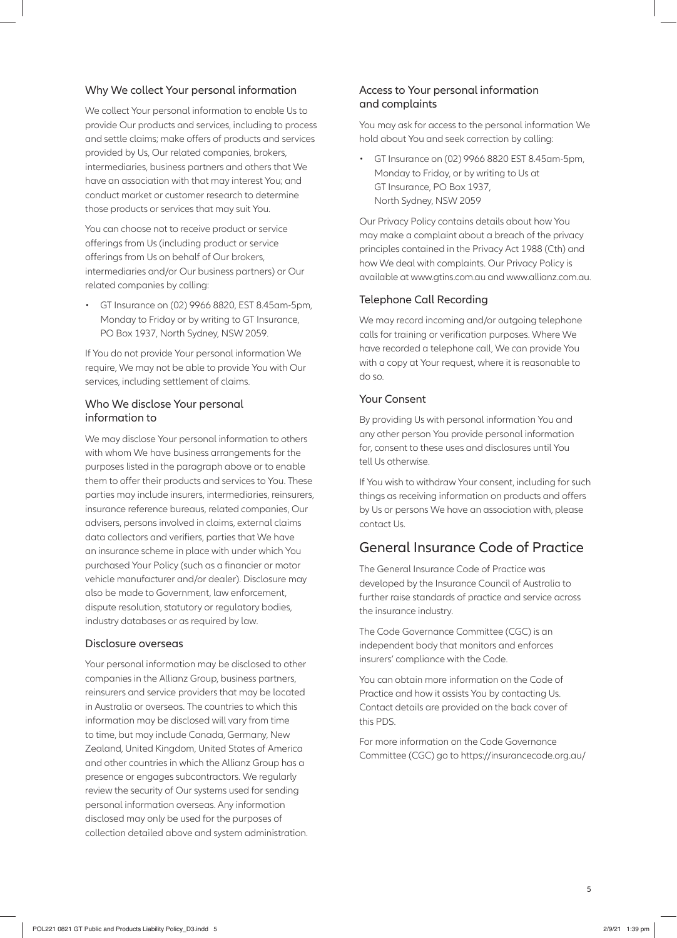#### Why We collect Your personal information

We collect Your personal information to enable Us to provide Our products and services, including to process and settle claims; make offers of products and services provided by Us, Our related companies, brokers, intermediaries, business partners and others that We have an association with that may interest You; and conduct market or customer research to determine those products or services that may suit You.

You can choose not to receive product or service offerings from Us (including product or service offerings from Us on behalf of Our brokers, intermediaries and/or Our business partners) or Our related companies by calling:

• GT Insurance on (02) 9966 8820, EST 8.45am-5pm, Monday to Friday or by writing to GT Insurance, PO Box 1937, North Sydney, NSW 2059.

If You do not provide Your personal information We require, We may not be able to provide You with Our services, including settlement of claims.

#### Who We disclose Your personal information to

We may disclose Your personal information to others with whom We have business arrangements for the purposes listed in the paragraph above or to enable them to offer their products and services to You. These parties may include insurers, intermediaries, reinsurers, insurance reference bureaus, related companies, Our advisers, persons involved in claims, external claims data collectors and verifiers, parties that We have an insurance scheme in place with under which You purchased Your Policy (such as a financier or motor vehicle manufacturer and/or dealer). Disclosure may also be made to Government, law enforcement, dispute resolution, statutory or regulatory bodies, industry databases or as required by law.

#### Disclosure overseas

Your personal information may be disclosed to other companies in the Allianz Group, business partners, reinsurers and service providers that may be located in Australia or overseas. The countries to which this information may be disclosed will vary from time to time, but may include Canada, Germany, New Zealand, United Kingdom, United States of America and other countries in which the Allianz Group has a presence or engages subcontractors. We regularly review the security of Our systems used for sending personal information overseas. Any information disclosed may only be used for the purposes of collection detailed above and system administration.

#### Access to Your personal information and complaints

You may ask for access to the personal information We hold about You and seek correction by calling:

• GT Insurance on (02) 9966 8820 EST 8.45am-5pm, Monday to Friday, or by writing to Us at GT Insurance, PO Box 1937, North Sydney, NSW 2059

Our Privacy Policy contains details about how You may make a complaint about a breach of the privacy principles contained in the Privacy Act 1988 (Cth) and how We deal with complaints. Our Privacy Policy is available at www.gtins.com.au and www.allianz.com.au.

#### Telephone Call Recording

We may record incoming and/or outgoing telephone calls for training or verification purposes. Where We have recorded a telephone call, We can provide You with a copy at Your request, where it is reasonable to do so.

#### Your Consent

By providing Us with personal information You and any other person You provide personal information for, consent to these uses and disclosures until You tell Us otherwise.

If You wish to withdraw Your consent, including for such things as receiving information on products and offers by Us or persons We have an association with, please contact Us.

### General Insurance Code of Practice

The General Insurance Code of Practice was developed by the Insurance Council of Australia to further raise standards of practice and service across the insurance industry.

The Code Governance Committee (CGC) is an independent body that monitors and enforces insurers' compliance with the Code.

You can obtain more information on the Code of Practice and how it assists You by contacting Us. Contact details are provided on the back cover of this PDS.

For more information on the Code Governance Committee (CGC) go to https://insurancecode.org.au/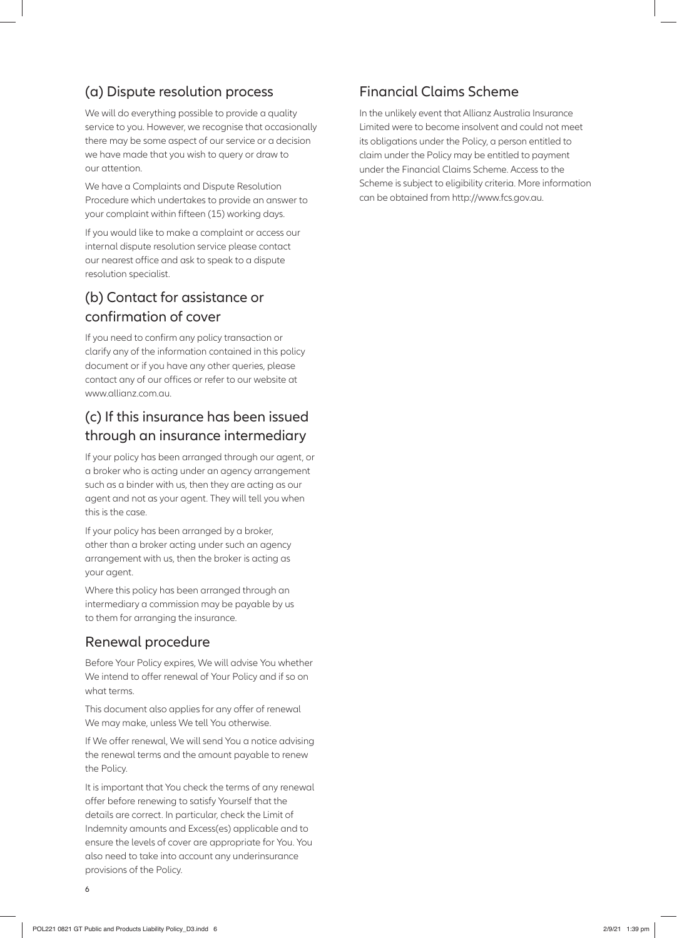## (a) Dispute resolution process

We will do everything possible to provide a quality service to you. However, we recognise that occasionally there may be some aspect of our service or a decision we have made that you wish to query or draw to our attention.

We have a Complaints and Dispute Resolution Procedure which undertakes to provide an answer to your complaint within fifteen (15) working days.

If you would like to make a complaint or access our internal dispute resolution service please contact our nearest office and ask to speak to a dispute resolution specialist.

## (b) Contact for assistance or confirmation of cover

If you need to confirm any policy transaction or clarify any of the information contained in this policy document or if you have any other queries, please contact any of our offices or refer to our website at www.allianz.com.au.

## (c) If this insurance has been issued through an insurance intermediary

If your policy has been arranged through our agent, or a broker who is acting under an agency arrangement such as a binder with us, then they are acting as our agent and not as your agent. They will tell you when this is the case.

If your policy has been arranged by a broker, other than a broker acting under such an agency arrangement with us, then the broker is acting as your agent.

Where this policy has been arranged through an intermediary a commission may be payable by us to them for arranging the insurance.

### Renewal procedure

Before Your Policy expires, We will advise You whether We intend to offer renewal of Your Policy and if so on what terms.

This document also applies for any offer of renewal We may make, unless We tell You otherwise.

If We offer renewal, We will send You a notice advising the renewal terms and the amount payable to renew the Policy.

It is important that You check the terms of any renewal offer before renewing to satisfy Yourself that the details are correct. In particular, check the Limit of Indemnity amounts and Excess(es) applicable and to ensure the levels of cover are appropriate for You. You also need to take into account any underinsurance provisions of the Policy.

## Financial Claims Scheme

In the unlikely event that Allianz Australia Insurance Limited were to become insolvent and could not meet its obligations under the Policy, a person entitled to claim under the Policy may be entitled to payment under the Financial Claims Scheme. Access to the Scheme is subject to eligibility criteria. More information can be obtained from http://www.fcs.gov.au.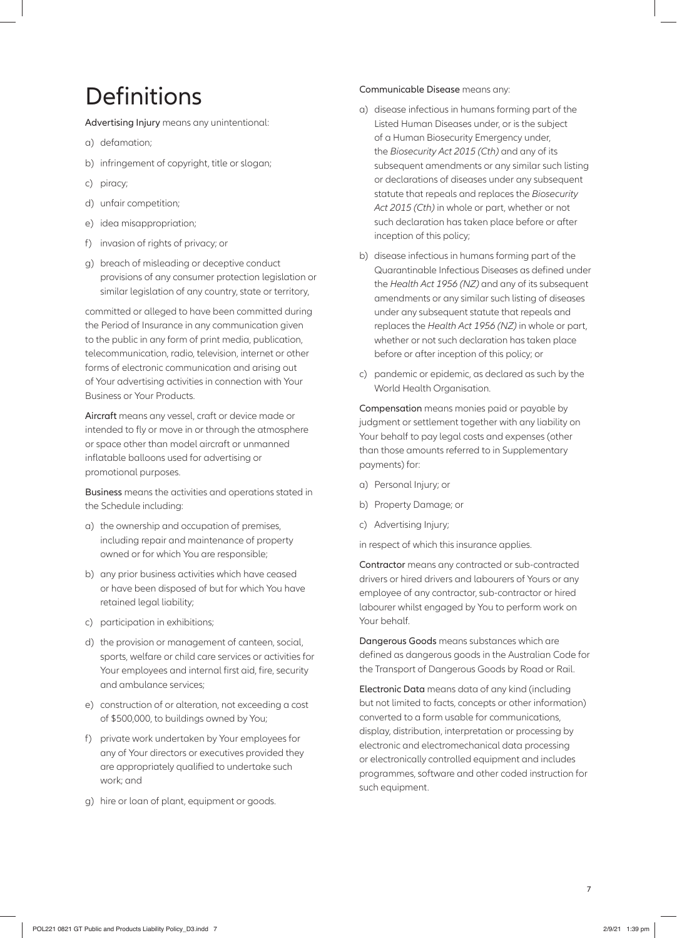## Definitions

Advertising Injury means any unintentional:

- a) defamation;
- b) infringement of copyright, title or slogan;
- c) piracy;
- d) unfair competition;
- e) idea misappropriation;
- f) invasion of rights of privacy; or
- g) breach of misleading or deceptive conduct provisions of any consumer protection legislation or similar legislation of any country, state or territory,

committed or alleged to have been committed during the Period of Insurance in any communication given to the public in any form of print media, publication, telecommunication, radio, television, internet or other forms of electronic communication and arising out of Your advertising activities in connection with Your Business or Your Products.

Aircraft means any vessel, craft or device made or intended to fly or move in or through the atmosphere or space other than model aircraft or unmanned inflatable balloons used for advertising or promotional purposes.

Business means the activities and operations stated in the Schedule including:

- a) the ownership and occupation of premises, including repair and maintenance of property owned or for which You are responsible;
- b) any prior business activities which have ceased or have been disposed of but for which You have retained legal liability;
- c) participation in exhibitions;
- d) the provision or management of canteen, social, sports, welfare or child care services or activities for Your employees and internal first aid, fire, security and ambulance services;
- e) construction of or alteration, not exceeding a cost of \$500,000, to buildings owned by You;
- f) private work undertaken by Your employees for any of Your directors or executives provided they are appropriately qualified to undertake such work; and
- g) hire or loan of plant, equipment or goods.

#### Communicable Disease means any:

- a) disease infectious in humans forming part of the Listed Human Diseases under, or is the subject of a Human Biosecurity Emergency under, the *Biosecurity Act 2015 (Cth)* and any of its subsequent amendments or any similar such listing or declarations of diseases under any subsequent statute that repeals and replaces the *Biosecurity Act 2015 (Cth)* in whole or part, whether or not such declaration has taken place before or after inception of this policy;
- b) disease infectious in humans forming part of the Quarantinable Infectious Diseases as defined under the *Health Act 1956 (NZ)* and any of its subsequent amendments or any similar such listing of diseases under any subsequent statute that repeals and replaces the *Health Act 1956 (NZ)* in whole or part, whether or not such declaration has taken place before or after inception of this policy; or
- c) pandemic or epidemic, as declared as such by the World Health Organisation.

Compensation means monies paid or payable by judament or settlement together with any liability on Your behalf to pay legal costs and expenses (other than those amounts referred to in Supplementary payments) for:

- a) Personal Injury; or
- b) Property Damage; or
- c) Advertising Injury;
- in respect of which this insurance applies.

Contractor means any contracted or sub-contracted drivers or hired drivers and labourers of Yours or any employee of any contractor, sub-contractor or hired labourer whilst engaged by You to perform work on Your behalf.

Dangerous Goods means substances which are defined as dangerous goods in the Australian Code for the Transport of Dangerous Goods by Road or Rail.

Electronic Data means data of any kind (including but not limited to facts, concepts or other information) converted to a form usable for communications, display, distribution, interpretation or processing by electronic and electromechanical data processing or electronically controlled equipment and includes programmes, software and other coded instruction for such equipment.

7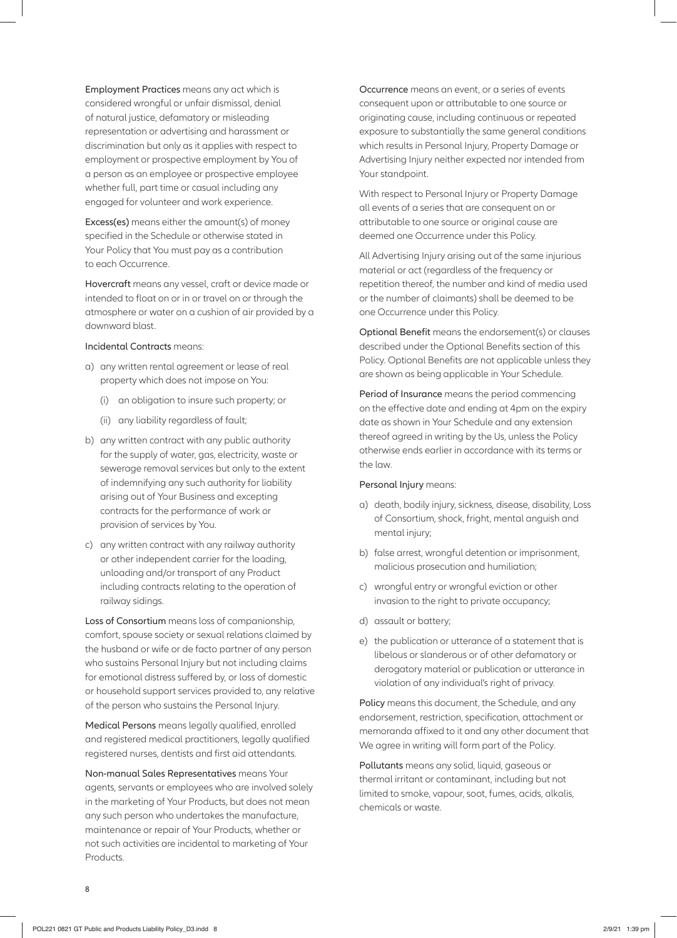Employment Practices means any act which is considered wrongful or unfair dismissal, denial of natural justice, defamatory or misleading representation or advertising and harassment or discrimination but only as it applies with respect to employment or prospective employment by You of a person as an employee or prospective employee whether full, part time or casual including any engaged for volunteer and work experience.

Excess(es) means either the amount(s) of money specified in the Schedule or otherwise stated in Your Policy that You must pay as a contribution to each Occurrence.

Hovercraft means any vessel, craft or device made or intended to float on or in or travel on or through the atmosphere or water on a cushion of air provided by a downward blast.

#### Incidental Contracts means:

- a) any written rental agreement or lease of real property which does not impose on You:
	- (i) an obligation to insure such property; or
	- (ii) any liability regardless of fault;
- b) any written contract with any public authority for the supply of water, gas, electricity, waste or sewerage removal services but only to the extent of indemnifying any such authority for liability arising out of Your Business and excepting contracts for the performance of work or provision of services by You.
- c) any written contract with any railway authority or other independent carrier for the loading, unloading and/or transport of any Product including contracts relating to the operation of railway sidings.

Loss of Consortium means loss of companionship, comfort, spouse society or sexual relations claimed by the husband or wife or de facto partner of any person who sustains Personal Injury but not including claims for emotional distress suffered by, or loss of domestic or household support services provided to, any relative of the person who sustains the Personal Injury.

Medical Persons means legally qualified, enrolled and registered medical practitioners, legally qualified registered nurses, dentists and first aid attendants.

Non-manual Sales Representatives means Your agents, servants or employees who are involved solely in the marketing of Your Products, but does not mean any such person who undertakes the manufacture, maintenance or repair of Your Products, whether or not such activities are incidental to marketing of Your **Products** 

Occurrence means an event, or a series of events consequent upon or attributable to one source or originating cause, including continuous or repeated exposure to substantially the same general conditions which results in Personal Injury, Property Damage or Advertising Injury neither expected nor intended from Your standpoint.

With respect to Personal Injury or Property Damage all events of a series that are consequent on or attributable to one source or original cause are deemed one Occurrence under this Policy.

All Advertising Injury arising out of the same injurious material or act (regardless of the frequency or repetition thereof, the number and kind of media used or the number of claimants) shall be deemed to be one Occurrence under this Policy.

Optional Benefit means the endorsement(s) or clauses described under the Optional Benefits section of this Policy. Optional Benefits are not applicable unless they are shown as being applicable in Your Schedule.

Period of Insurance means the period commencing on the effective date and ending at 4pm on the expiry date as shown in Your Schedule and any extension thereof agreed in writing by the Us, unless the Policy otherwise ends earlier in accordance with its terms or the law.

Personal Injury means:

- a) death, bodily injury, sickness, disease, disability, Loss of Consortium, shock, fright, mental anguish and mental injury;
- b) false arrest, wrongful detention or imprisonment, malicious prosecution and humiliation;
- c) wrongful entry or wrongful eviction or other invasion to the right to private occupancy;
- d) assault or battery;
- e) the publication or utterance of a statement that is libelous or slanderous or of other defamatory or derogatory material or publication or utterance in violation of any individual's right of privacy.

Policy means this document, the Schedule, and any endorsement, restriction, specification, attachment or memoranda affixed to it and any other document that We agree in writing will form part of the Policy.

Pollutants means any solid, liquid, gaseous or thermal irritant or contaminant, including but not limited to smoke, vapour, soot, fumes, acids, alkalis, chemicals or waste.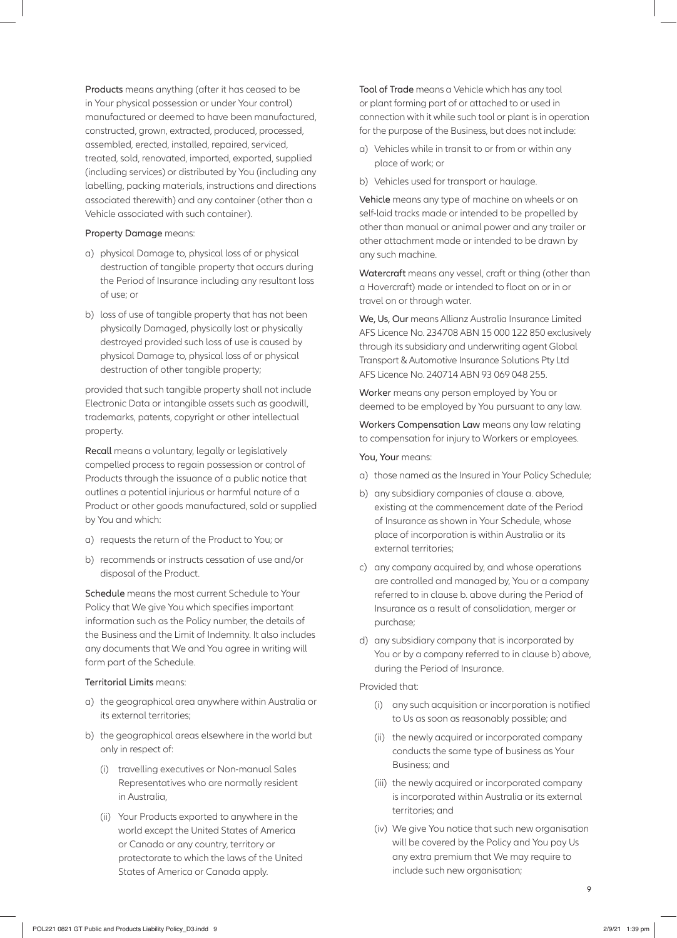Products means anything (after it has ceased to be in Your physical possession or under Your control) manufactured or deemed to have been manufactured, constructed, grown, extracted, produced, processed, assembled, erected, installed, repaired, serviced, treated, sold, renovated, imported, exported, supplied (including services) or distributed by You (including any labelling, packing materials, instructions and directions associated therewith) and any container (other than a Vehicle associated with such container).

#### Property Damage means:

- a) physical Damage to, physical loss of or physical destruction of tangible property that occurs during the Period of Insurance including any resultant loss of use; or
- b) loss of use of tangible property that has not been physically Damaged, physically lost or physically destroyed provided such loss of use is caused by physical Damage to, physical loss of or physical destruction of other tangible property;

provided that such tangible property shall not include Electronic Data or intangible assets such as goodwill, trademarks, patents, copyright or other intellectual property.

Recall means a voluntary, legally or legislatively compelled process to regain possession or control of Products through the issuance of a public notice that outlines a potential injurious or harmful nature of a Product or other goods manufactured, sold or supplied by You and which:

- a) requests the return of the Product to You; or
- b) recommends or instructs cessation of use and/or disposal of the Product.

Schedule means the most current Schedule to Your Policy that We give You which specifies important information such as the Policy number, the details of the Business and the Limit of Indemnity. It also includes any documents that We and You agree in writing will form part of the Schedule.

#### Territorial Limits means:

- a) the geographical area anywhere within Australia or its external territories;
- b) the geographical areas elsewhere in the world but only in respect of:
	- (i) travelling executives or Non-manual Sales Representatives who are normally resident in Australia,
	- (ii) Your Products exported to anywhere in the world except the United States of America or Canada or any country, territory or protectorate to which the laws of the United States of America or Canada apply.

Tool of Trade means a Vehicle which has any tool or plant forming part of or attached to or used in connection with it while such tool or plant is in operation for the purpose of the Business, but does not include:

- a) Vehicles while in transit to or from or within any place of work; or
- b) Vehicles used for transport or haulage.

Vehicle means any type of machine on wheels or on self-laid tracks made or intended to be propelled by other than manual or animal power and any trailer or other attachment made or intended to be drawn by any such machine.

Watercraft means any vessel, craft or thing (other than a Hovercraft) made or intended to float on or in or travel on or through water.

We, Us, Our means Allianz Australia Insurance Limited AFS Licence No. 234708 ABN 15 000 122 850 exclusively through its subsidiary and underwriting agent Global Transport & Automotive Insurance Solutions Pty Ltd AFS Licence No. 240714 ABN 93 069 048 255.

Worker means any person employed by You or deemed to be employed by You pursuant to any law.

Workers Compensation Law means any law relating to compensation for injury to Workers or employees.

You, Your means:

- a) those named as the Insured in Your Policy Schedule;
- b) any subsidiary companies of clause a. above, existing at the commencement date of the Period of Insurance as shown in Your Schedule, whose place of incorporation is within Australia or its external territories;
- c) any company acquired by, and whose operations are controlled and managed by, You or a company referred to in clause b. above during the Period of Insurance as a result of consolidation, merger or purchase;
- d) any subsidiary company that is incorporated by You or by a company referred to in clause b) above, during the Period of Insurance.

#### Provided that:

- (i) any such acquisition or incorporation is notified to Us as soon as reasonably possible; and
- (ii) the newly acquired or incorporated company conducts the same type of business as Your Business; and
- (iii) the newly acquired or incorporated company is incorporated within Australia or its external territories; and
- (iv) We give You notice that such new organisation will be covered by the Policy and You pay Us any extra premium that We may require to include such new organisation;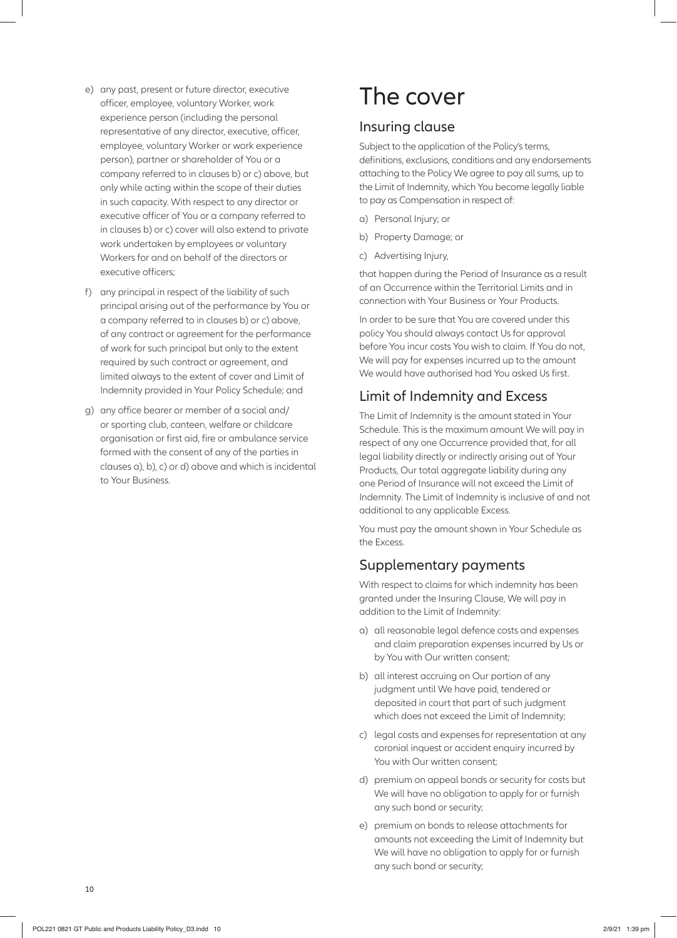- e) any past, present or future director, executive officer, employee, voluntary Worker, work experience person (including the personal representative of any director, executive, officer, employee, voluntary Worker or work experience person), partner or shareholder of You or a company referred to in clauses b) or c) above, but only while acting within the scope of their duties in such capacity. With respect to any director or executive officer of You or a company referred to in clauses b) or c) cover will also extend to private work undertaken by employees or voluntary Workers for and on behalf of the directors or executive officers:
- f) any principal in respect of the liability of such principal arising out of the performance by You or a company referred to in clauses b) or c) above, of any contract or agreement for the performance of work for such principal but only to the extent required by such contract or agreement, and limited always to the extent of cover and Limit of Indemnity provided in Your Policy Schedule; and
- g) any office bearer or member of a social and/ or sporting club, canteen, welfare or childcare organisation or first aid, fire or ambulance service formed with the consent of any of the parties in clauses a), b), c) or d) above and which is incidental to Your Business.

## The cover

## Insuring clause

Subject to the application of the Policy's terms, definitions, exclusions, conditions and any endorsements attaching to the Policy We agree to pay all sums, up to the Limit of Indemnity, which You become legally liable to pay as Compensation in respect of:

- a) Personal Injury; or
- b) Property Damage; or
- c) Advertising Injury,

that happen during the Period of Insurance as a result of an Occurrence within the Territorial Limits and in connection with Your Business or Your Products.

In order to be sure that You are covered under this policy You should always contact Us for approval before You incur costs You wish to claim. If You do not, We will pay for expenses incurred up to the amount We would have authorised had You asked Us first.

## Limit of Indemnity and Excess

The Limit of Indemnity is the amount stated in Your Schedule. This is the maximum amount We will pay in respect of any one Occurrence provided that, for all legal liability directly or indirectly arising out of Your Products, Our total aggregate liability during any one Period of Insurance will not exceed the Limit of Indemnity. The Limit of Indemnity is inclusive of and not additional to any applicable Excess.

You must pay the amount shown in Your Schedule as the Excess.

## Supplementary payments

With respect to claims for which indemnity has been granted under the Insuring Clause, We will pay in addition to the Limit of Indemnity:

- a) all reasonable legal defence costs and expenses and claim preparation expenses incurred by Us or by You with Our written consent;
- b) all interest accruing on Our portion of any judgment until We have paid, tendered or deposited in court that part of such judgment which does not exceed the Limit of Indemnity;
- c) legal costs and expenses for representation at any coronial inquest or accident enquiry incurred by You with Our written consent;
- d) premium on appeal bonds or security for costs but We will have no obligation to apply for or furnish any such bond or security;
- e) premium on bonds to release attachments for amounts not exceeding the Limit of Indemnity but We will have no obligation to apply for or furnish any such bond or security;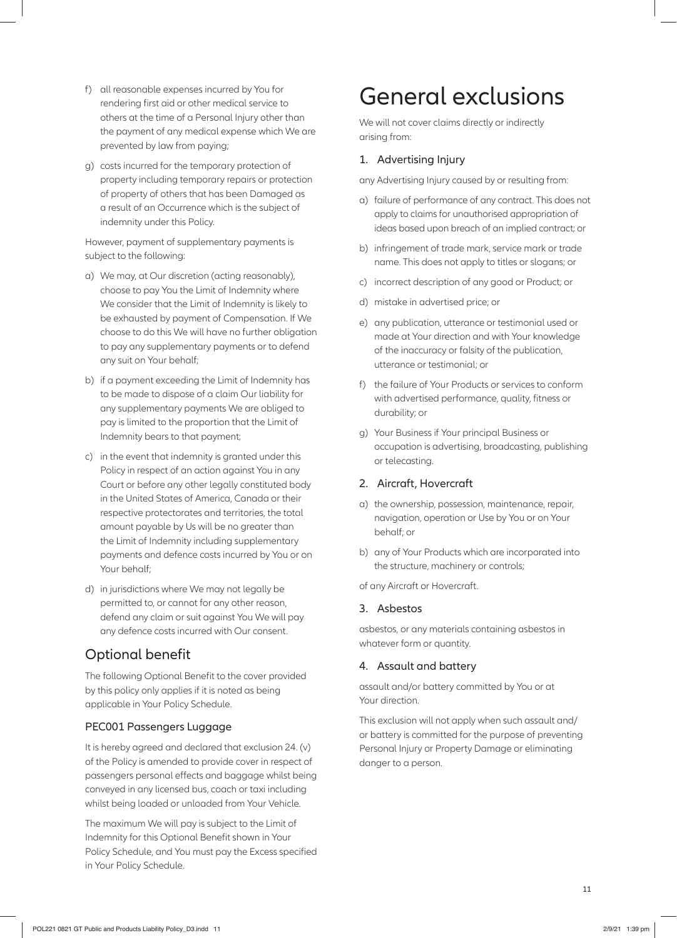- f) all reasonable expenses incurred by You for rendering first aid or other medical service to others at the time of a Personal Injury other than the payment of any medical expense which We are prevented by law from paying;
- g) costs incurred for the temporary protection of property including temporary repairs or protection of property of others that has been Damaged as a result of an Occurrence which is the subject of indemnity under this Policy.

However, payment of supplementary payments is subject to the following:

- a) We may, at Our discretion (acting reasonably), choose to pay You the Limit of Indemnity where We consider that the Limit of Indemnity is likely to be exhausted by payment of Compensation. If We choose to do this We will have no further obligation to pay any supplementary payments or to defend any suit on Your behalf;
- b) if a payment exceeding the Limit of Indemnity has to be made to dispose of a claim Our liability for any supplementary payments We are obliged to pay is limited to the proportion that the Limit of Indemnity bears to that payment;
- c) in the event that indemnity is granted under this Policy in respect of an action against You in any Court or before any other legally constituted body in the United States of America, Canada or their respective protectorates and territories, the total amount payable by Us will be no greater than the Limit of Indemnity including supplementary payments and defence costs incurred by You or on Your behalf;
- d) in jurisdictions where We may not legally be permitted to, or cannot for any other reason, defend any claim or suit against You We will pay any defence costs incurred with Our consent.

## Optional benefit

The following Optional Benefit to the cover provided by this policy only applies if it is noted as being applicable in Your Policy Schedule.

#### PEC001 Passengers Luggage

It is hereby agreed and declared that exclusion 24. (v) of the Policy is amended to provide cover in respect of passengers personal effects and baggage whilst being conveyed in any licensed bus, coach or taxi including whilst being loaded or unloaded from Your Vehicle.

The maximum We will pay is subject to the Limit of Indemnity for this Optional Benefit shown in Your Policy Schedule, and You must pay the Excess specified in Your Policy Schedule.

## General exclusions

We will not cover claims directly or indirectly arising from:

#### 1. Advertising Injury

any Advertising Injury caused by or resulting from:

- a) failure of performance of any contract. This does not apply to claims for unauthorised appropriation of ideas based upon breach of an implied contract; or
- b) infringement of trade mark, service mark or trade name. This does not apply to titles or slogans; or
- c) incorrect description of any good or Product; or
- d) mistake in advertised price; or
- e) any publication, utterance or testimonial used or made at Your direction and with Your knowledge of the inaccuracy or falsity of the publication, utterance or testimonial; or
- f) the failure of Your Products or services to conform with advertised performance, quality, fitness or durability; or
- g) Your Business if Your principal Business or occupation is advertising, broadcasting, publishing or telecasting.

#### 2. Aircraft, Hovercraft

- a) the ownership, possession, maintenance, repair, navigation, operation or Use by You or on Your behalf; or
- b) any of Your Products which are incorporated into the structure, machinery or controls;

of any Aircraft or Hovercraft.

#### 3. Asbestos

asbestos, or any materials containing asbestos in whatever form or quantity.

#### 4. Assault and battery

assault and/or battery committed by You or at Your direction.

This exclusion will not apply when such assault and/ or battery is committed for the purpose of preventing Personal Injury or Property Damage or eliminating danger to a person.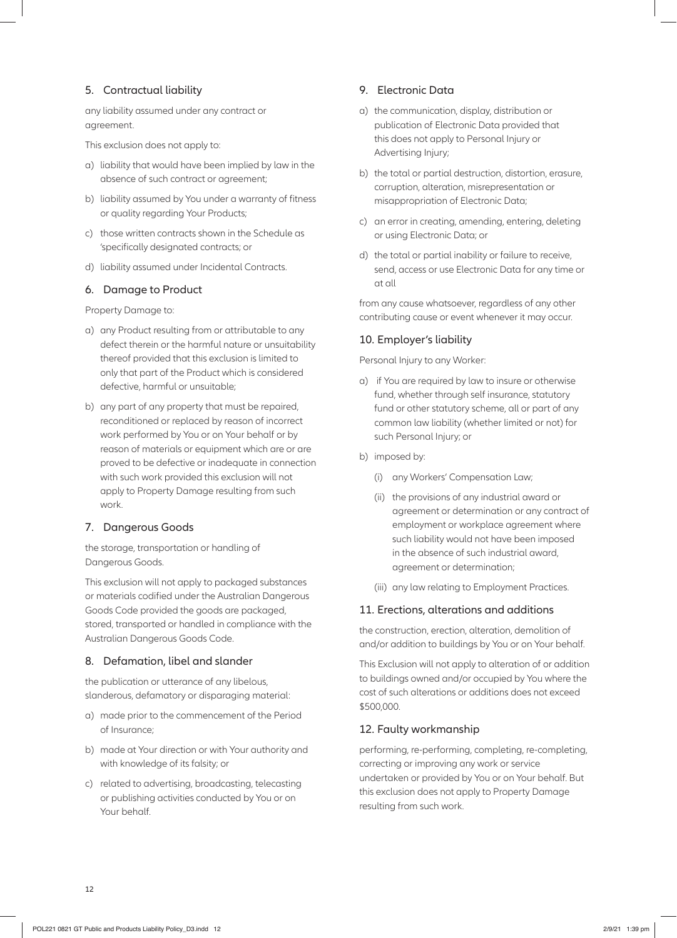#### 5. Contractual liability

any liability assumed under any contract or agreement.

This exclusion does not apply to:

- a) liability that would have been implied by law in the absence of such contract or agreement;
- b) liability assumed by You under a warranty of fitness or quality regarding Your Products;
- c) those written contracts shown in the Schedule as 'specifically designated contracts; or
- d) liability assumed under Incidental Contracts.

#### 6. Damage to Product

Property Damage to:

- a) any Product resulting from or attributable to any defect therein or the harmful nature or unsuitability thereof provided that this exclusion is limited to only that part of the Product which is considered defective, harmful or unsuitable;
- b) any part of any property that must be repaired, reconditioned or replaced by reason of incorrect work performed by You or on Your behalf or by reason of materials or equipment which are or are proved to be defective or inadequate in connection with such work provided this exclusion will not apply to Property Damage resulting from such work.

#### 7. Dangerous Goods

#### the storage, transportation or handling of Dangerous Goods.

This exclusion will not apply to packaged substances or materials codified under the Australian Dangerous Goods Code provided the goods are packaged, stored, transported or handled in compliance with the Australian Dangerous Goods Code.

#### 8. Defamation, libel and slander

the publication or utterance of any libelous, slanderous, defamatory or disparaging material:

- a) made prior to the commencement of the Period of Insurance;
- b) made at Your direction or with Your authority and with knowledge of its falsity; or
- c) related to advertising, broadcasting, telecasting or publishing activities conducted by You or on Your behalf.

#### 9. Electronic Data

- a) the communication, display, distribution or publication of Electronic Data provided that this does not apply to Personal Injury or Advertising Injury;
- b) the total or partial destruction, distortion, erasure, corruption, alteration, misrepresentation or misappropriation of Electronic Data;
- c) an error in creating, amending, entering, deleting or using Electronic Data; or
- d) the total or partial inability or failure to receive, send, access or use Electronic Data for any time or at all

from any cause whatsoever, regardless of any other contributing cause or event whenever it may occur.

#### 10. Employer's liability

Personal Injury to any Worker:

- a) if You are required by law to insure or otherwise fund, whether through self insurance, statutory fund or other statutory scheme, all or part of any common law liability (whether limited or not) for such Personal Injury; or
- b) imposed by:
	- (i) any Workers' Compensation Law;
	- (ii) the provisions of any industrial award or agreement or determination or any contract of employment or workplace agreement where such liability would not have been imposed in the absence of such industrial award, agreement or determination;
	- (iii) any law relating to Employment Practices.

#### 11. Erections, alterations and additions

the construction, erection, alteration, demolition of and/or addition to buildings by You or on Your behalf.

This Exclusion will not apply to alteration of or addition to buildings owned and/or occupied by You where the cost of such alterations or additions does not exceed \$500,000.

#### 12. Faulty workmanship

performing, re-performing, completing, re-completing, correcting or improving any work or service undertaken or provided by You or on Your behalf. But this exclusion does not apply to Property Damage resulting from such work.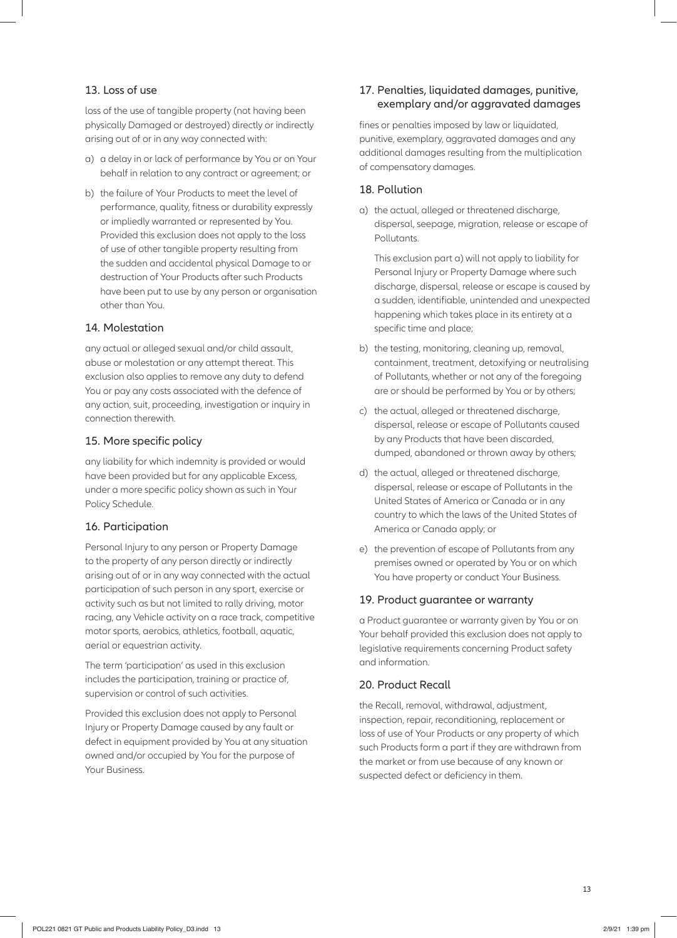#### 13. Loss of use

loss of the use of tangible property (not having been physically Damaged or destroyed) directly or indirectly arising out of or in any way connected with:

- a) a delay in or lack of performance by You or on Your behalf in relation to any contract or agreement; or
- b) the failure of Your Products to meet the level of performance, quality, fitness or durability expressly or impliedly warranted or represented by You. Provided this exclusion does not apply to the loss of use of other tangible property resulting from the sudden and accidental physical Damage to or destruction of Your Products after such Products have been put to use by any person or organisation other than You.

#### 14. Molestation

any actual or alleged sexual and/or child assault, abuse or molestation or any attempt thereat. This exclusion also applies to remove any duty to defend You or pay any costs associated with the defence of any action, suit, proceeding, investigation or inquiry in connection therewith.

#### 15. More specific policy

any liability for which indemnity is provided or would have been provided but for any applicable Excess, under a more specific policy shown as such in Your Policy Schedule.

#### 16. Participation

Personal Injury to any person or Property Damage to the property of any person directly or indirectly arising out of or in any way connected with the actual participation of such person in any sport, exercise or activity such as but not limited to rally driving, motor racing, any Vehicle activity on a race track, competitive motor sports, aerobics, athletics, football, aquatic, aerial or equestrian activity.

The term 'participation' as used in this exclusion includes the participation, training or practice of, supervision or control of such activities.

Provided this exclusion does not apply to Personal Injury or Property Damage caused by any fault or defect in equipment provided by You at any situation owned and/or occupied by You for the purpose of Your Business.

#### 17. Penalties, liquidated damages, punitive, exemplary and/or aggravated damages

fines or penalties imposed by law or liquidated, punitive, exemplary, aggravated damages and any additional damages resulting from the multiplication of compensatory damages.

#### 18. Pollution

a) the actual, alleged or threatened discharge, dispersal, seepage, migration, release or escape of Pollutants.

 This exclusion part a) will not apply to liability for Personal Injury or Property Damage where such discharge, dispersal, release or escape is caused by a sudden, identifiable, unintended and unexpected happening which takes place in its entirety at a specific time and place;

- b) the testing, monitoring, cleaning up, removal, containment, treatment, detoxifying or neutralising of Pollutants, whether or not any of the foregoing are or should be performed by You or by others;
- c) the actual, alleged or threatened discharge, dispersal, release or escape of Pollutants caused by any Products that have been discarded, dumped, abandoned or thrown away by others;
- d) the actual, alleged or threatened discharge, dispersal, release or escape of Pollutants in the United States of America or Canada or in any country to which the laws of the United States of America or Canada apply; or
- e) the prevention of escape of Pollutants from any premises owned or operated by You or on which You have property or conduct Your Business.

#### 19. Product guarantee or warranty

a Product guarantee or warranty given by You or on Your behalf provided this exclusion does not apply to legislative requirements concerning Product safety and information.

#### 20. Product Recall

the Recall, removal, withdrawal, adjustment, inspection, repair, reconditioning, replacement or loss of use of Your Products or any property of which such Products form a part if they are withdrawn from the market or from use because of any known or suspected defect or deficiency in them.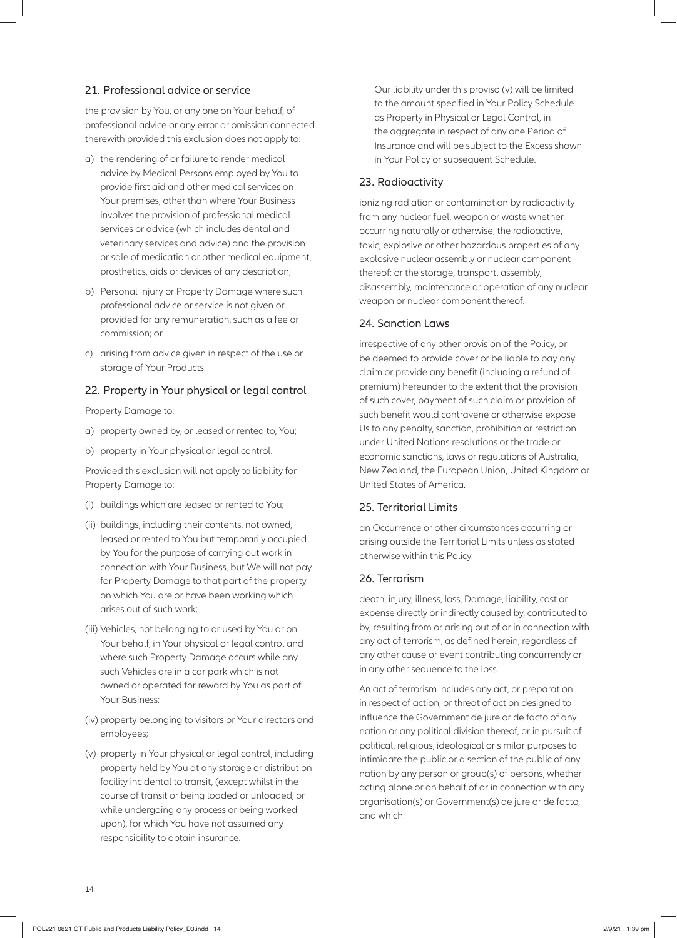#### 21. Professional advice or service

the provision by You, or any one on Your behalf, of professional advice or any error or omission connected therewith provided this exclusion does not apply to:

- a) the rendering of or failure to render medical advice by Medical Persons employed by You to provide first aid and other medical services on Your premises, other than where Your Business involves the provision of professional medical services or advice (which includes dental and veterinary services and advice) and the provision or sale of medication or other medical equipment, prosthetics, aids or devices of any description;
- b) Personal Injury or Property Damage where such professional advice or service is not given or provided for any remuneration, such as a fee or commission; or
- c) arising from advice given in respect of the use or storage of Your Products.

#### 22. Property in Your physical or legal control

Property Damage to:

- a) property owned by, or leased or rented to, You;
- b) property in Your physical or legal control.

Provided this exclusion will not apply to liability for Property Damage to:

- (i) buildings which are leased or rented to You;
- (ii) buildings, including their contents, not owned, leased or rented to You but temporarily occupied by You for the purpose of carrying out work in connection with Your Business, but We will not pay for Property Damage to that part of the property on which You are or have been working which arises out of such work;
- (iii) Vehicles, not belonging to or used by You or on Your behalf, in Your physical or legal control and where such Property Damage occurs while any such Vehicles are in a car park which is not owned or operated for reward by You as part of Your Business;
- (iv) property belonging to visitors or Your directors and employees;
- (v) property in Your physical or legal control, including property held by You at any storage or distribution facility incidental to transit, (except whilst in the course of transit or being loaded or unloaded, or while undergoing any process or being worked upon), for which You have not assumed any responsibility to obtain insurance.

 Our liability under this proviso (v) will be limited to the amount specified in Your Policy Schedule as Property in Physical or Legal Control, in the aggregate in respect of any one Period of Insurance and will be subject to the Excess shown in Your Policy or subsequent Schedule.

#### 23. Radioactivity

ionizing radiation or contamination by radioactivity from any nuclear fuel, weapon or waste whether occurring naturally or otherwise; the radioactive, toxic, explosive or other hazardous properties of any explosive nuclear assembly or nuclear component thereof; or the storage, transport, assembly, disassembly, maintenance or operation of any nuclear weapon or nuclear component thereof.

#### 24. Sanction Laws

irrespective of any other provision of the Policy, or be deemed to provide cover or be liable to pay any claim or provide any benefit (including a refund of premium) hereunder to the extent that the provision of such cover, payment of such claim or provision of such benefit would contravene or otherwise expose Us to any penalty, sanction, prohibition or restriction under United Nations resolutions or the trade or economic sanctions, laws or regulations of Australia, New Zealand, the European Union, United Kingdom or United States of America.

#### 25. Territorial Limits

an Occurrence or other circumstances occurring or arising outside the Territorial Limits unless as stated otherwise within this Policy.

#### 26. Terrorism

death, injury, illness, loss, Damage, liability, cost or expense directly or indirectly caused by, contributed to by, resulting from or arising out of or in connection with any act of terrorism, as defined herein, regardless of any other cause or event contributing concurrently or in any other sequence to the loss.

An act of terrorism includes any act, or preparation in respect of action, or threat of action designed to influence the Government de jure or de facto of any nation or any political division thereof, or in pursuit of political, religious, ideological or similar purposes to intimidate the public or a section of the public of any nation by any person or group(s) of persons, whether acting alone or on behalf of or in connection with any organisation(s) or Government(s) de jure or de facto, and which: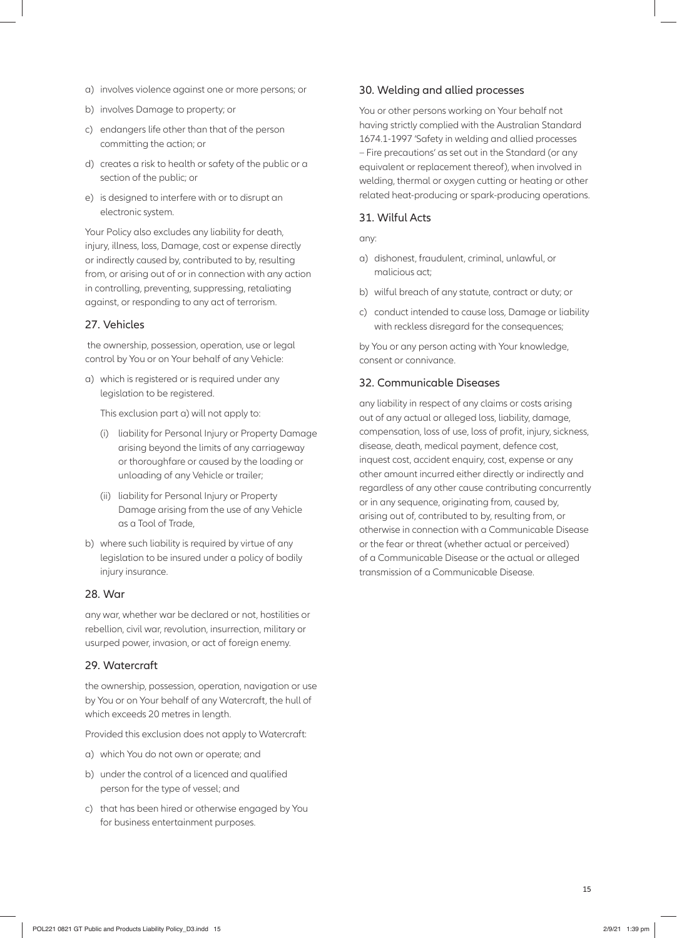- a) involves violence against one or more persons; or
- b) involves Damage to property; or
- c) endangers life other than that of the person committing the action; or
- d) creates a risk to health or safety of the public or a section of the public; or
- e) is designed to interfere with or to disrupt an electronic system.

Your Policy also excludes any liability for death, injury, illness, loss, Damage, cost or expense directly or indirectly caused by, contributed to by, resulting from, or arising out of or in connection with any action in controlling, preventing, suppressing, retaliating against, or responding to any act of terrorism.

#### 27. Vehicles

 the ownership, possession, operation, use or legal control by You or on Your behalf of any Vehicle:

a) which is registered or is required under any legislation to be registered.

This exclusion part a) will not apply to:

- (i) liability for Personal Injury or Property Damage arising beyond the limits of any carriageway or thoroughfare or caused by the loading or unloading of any Vehicle or trailer;
- (ii) liability for Personal Injury or Property Damage arising from the use of any Vehicle as a Tool of Trade,
- b) where such liability is required by virtue of any legislation to be insured under a policy of bodily injury insurance.

#### 28. War

any war, whether war be declared or not, hostilities or rebellion, civil war, revolution, insurrection, military or usurped power, invasion, or act of foreign enemy.

#### 29. Watercraft

the ownership, possession, operation, navigation or use by You or on Your behalf of any Watercraft, the hull of which exceeds 20 metres in length.

Provided this exclusion does not apply to Watercraft:

- a) which You do not own or operate; and
- b) under the control of a licenced and qualified person for the type of vessel; and
- c) that has been hired or otherwise engaged by You for business entertainment purposes.

#### 30. Welding and allied processes

You or other persons working on Your behalf not having strictly complied with the Australian Standard 1674.1-1997 'Safety in welding and allied processes – Fire precautions' as set out in the Standard (or any equivalent or replacement thereof), when involved in welding, thermal or oxygen cutting or heating or other related heat-producing or spark-producing operations.

#### 31. Wilful Acts

any:

- a) dishonest, fraudulent, criminal, unlawful, or malicious act;
- b) wilful breach of any statute, contract or duty; or
- c) conduct intended to cause loss, Damage or liability with reckless disregard for the consequences;

by You or any person acting with Your knowledge, consent or connivance.

#### 32. Communicable Diseases

any liability in respect of any claims or costs arising out of any actual or alleged loss, liability, damage, compensation, loss of use, loss of profit, injury, sickness, disease, death, medical payment, defence cost, inquest cost, accident enquiry, cost, expense or any other amount incurred either directly or indirectly and regardless of any other cause contributing concurrently or in any sequence, originating from, caused by, arising out of, contributed to by, resulting from, or otherwise in connection with a Communicable Disease or the fear or threat (whether actual or perceived) of a Communicable Disease or the actual or alleged transmission of a Communicable Disease.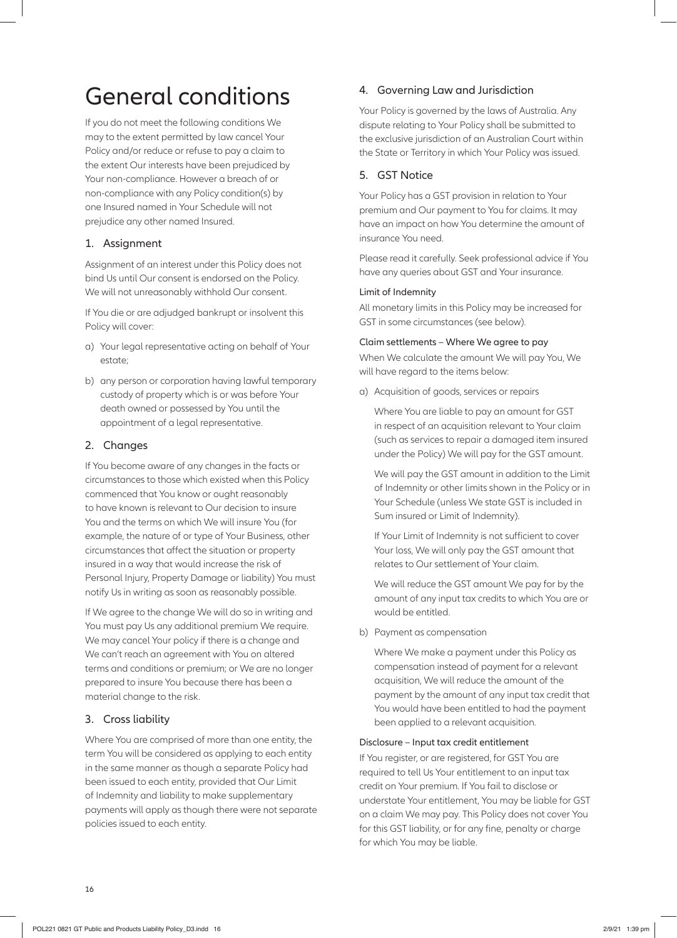## General conditions

If you do not meet the following conditions We may to the extent permitted by law cancel Your Policy and/or reduce or refuse to pay a claim to the extent Our interests have been prejudiced by Your non-compliance. However a breach of or non-compliance with any Policy condition(s) by one Insured named in Your Schedule will not prejudice any other named Insured.

#### 1. Assignment

Assignment of an interest under this Policy does not bind Us until Our consent is endorsed on the Policy. We will not unreasonably withhold Our consent.

If You die or are adjudged bankrupt or insolvent this Policy will cover:

- a) Your legal representative acting on behalf of Your estate;
- b) any person or corporation having lawful temporary custody of property which is or was before Your death owned or possessed by You until the appointment of a legal representative.

#### 2. Changes

If You become aware of any changes in the facts or circumstances to those which existed when this Policy commenced that You know or ought reasonably to have known is relevant to Our decision to insure You and the terms on which We will insure You (for example, the nature of or type of Your Business, other circumstances that affect the situation or property insured in a way that would increase the risk of Personal Injury, Property Damage or liability) You must notify Us in writing as soon as reasonably possible.

If We agree to the change We will do so in writing and You must pay Us any additional premium We require. We may cancel Your policy if there is a change and We can't reach an agreement with You on altered terms and conditions or premium; or We are no longer prepared to insure You because there has been a material change to the risk.

#### 3. Cross liability

Where You are comprised of more than one entity, the term You will be considered as applying to each entity in the same manner as though a separate Policy had been issued to each entity, provided that Our Limit of Indemnity and liability to make supplementary payments will apply as though there were not separate policies issued to each entity.

#### 4. Governing Law and Jurisdiction

Your Policy is governed by the laws of Australia. Any dispute relating to Your Policy shall be submitted to the exclusive jurisdiction of an Australian Court within the State or Territory in which Your Policy was issued.

#### 5. GST Notice

Your Policy has a GST provision in relation to Your premium and Our payment to You for claims. It may have an impact on how You determine the amount of insurance You need.

Please read it carefully. Seek professional advice if You have any queries about GST and Your insurance.

#### Limit of Indemnity

All monetary limits in this Policy may be increased for GST in some circumstances (see below).

#### Claim settlements – Where We agree to pay

When We calculate the amount We will pay You, We will have regard to the items below:

a) Acquisition of goods, services or repairs

 Where You are liable to pay an amount for GST in respect of an acquisition relevant to Your claim (such as services to repair a damaged item insured under the Policy) We will pay for the GST amount.

 We will pay the GST amount in addition to the Limit of Indemnity or other limits shown in the Policy or in Your Schedule (unless We state GST is included in Sum insured or Limit of Indemnity).

If Your Limit of Indemnity is not sufficient to cover Your loss, We will only pay the GST amount that relates to Our settlement of Your claim.

 We will reduce the GST amount We pay for by the amount of any input tax credits to which You are or would be entitled.

b) Payment as compensation

 Where We make a payment under this Policy as compensation instead of payment for a relevant acquisition, We will reduce the amount of the payment by the amount of any input tax credit that You would have been entitled to had the payment been applied to a relevant acquisition.

#### Disclosure – Input tax credit entitlement

If You register, or are registered, for GST You are required to tell Us Your entitlement to an input tax credit on Your premium. If You fail to disclose or understate Your entitlement, You may be liable for GST on a claim We may pay. This Policy does not cover You for this GST liability, or for any fine, penalty or charge for which You may be liable.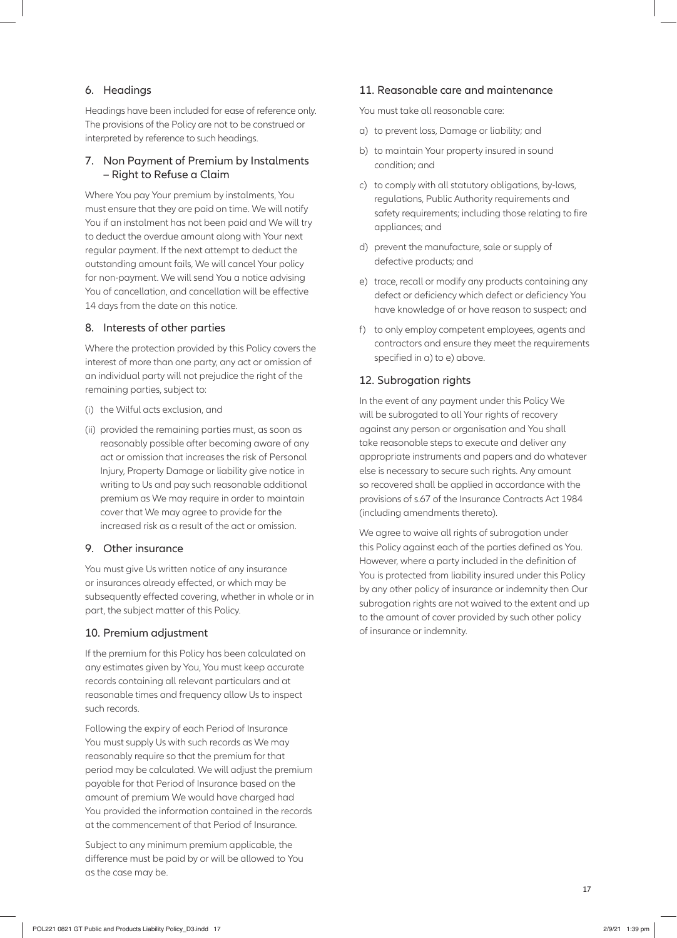#### 6. Headings

Headings have been included for ease of reference only. The provisions of the Policy are not to be construed or interpreted by reference to such headings.

#### 7. Non Payment of Premium by Instalments – Right to Refuse a Claim

Where You pay Your premium by instalments, You must ensure that they are paid on time. We will notify You if an instalment has not been paid and We will try to deduct the overdue amount along with Your next regular payment. If the next attempt to deduct the outstanding amount fails, We will cancel Your policy for non-payment. We will send You a notice advising You of cancellation, and cancellation will be effective 14 days from the date on this notice.

#### 8. Interests of other parties

Where the protection provided by this Policy covers the interest of more than one party, any act or omission of an individual party will not prejudice the right of the remaining parties, subject to:

- (i) the Wilful acts exclusion, and
- (ii) provided the remaining parties must, as soon as reasonably possible after becoming aware of any act or omission that increases the risk of Personal Injury, Property Damage or liability give notice in writing to Us and pay such reasonable additional premium as We may require in order to maintain cover that We may agree to provide for the increased risk as a result of the act or omission.

#### 9. Other insurance

You must give Us written notice of any insurance or insurances already effected, or which may be subsequently effected covering, whether in whole or in part, the subject matter of this Policy.

#### 10. Premium adjustment

If the premium for this Policy has been calculated on any estimates given by You, You must keep accurate records containing all relevant particulars and at reasonable times and frequency allow Us to inspect such records.

Following the expiry of each Period of Insurance You must supply Us with such records as We may reasonably require so that the premium for that period may be calculated. We will adjust the premium payable for that Period of Insurance based on the amount of premium We would have charged had You provided the information contained in the records at the commencement of that Period of Insurance.

Subject to any minimum premium applicable, the difference must be paid by or will be allowed to You as the case may be.

#### 11. Reasonable care and maintenance

You must take all reasonable care:

- a) to prevent loss, Damage or liability; and
- b) to maintain Your property insured in sound condition; and
- c) to comply with all statutory obligations, by-laws, regulations, Public Authority requirements and safety requirements; including those relating to fire appliances; and
- d) prevent the manufacture, sale or supply of defective products; and
- e) trace, recall or modify any products containing any defect or deficiency which defect or deficiency You have knowledge of or have reason to suspect; and
- f) to only employ competent employees, agents and contractors and ensure they meet the requirements specified in a) to e) above.

#### 12. Subrogation rights

In the event of any payment under this Policy We will be subrogated to all Your rights of recovery against any person or organisation and You shall take reasonable steps to execute and deliver any appropriate instruments and papers and do whatever else is necessary to secure such rights. Any amount so recovered shall be applied in accordance with the provisions of s.67 of the Insurance Contracts Act 1984 (including amendments thereto).

We agree to waive all rights of subrogation under this Policy against each of the parties defined as You. However, where a party included in the definition of You is protected from liability insured under this Policy by any other policy of insurance or indemnity then Our subrogation rights are not waived to the extent and up to the amount of cover provided by such other policy of insurance or indemnity.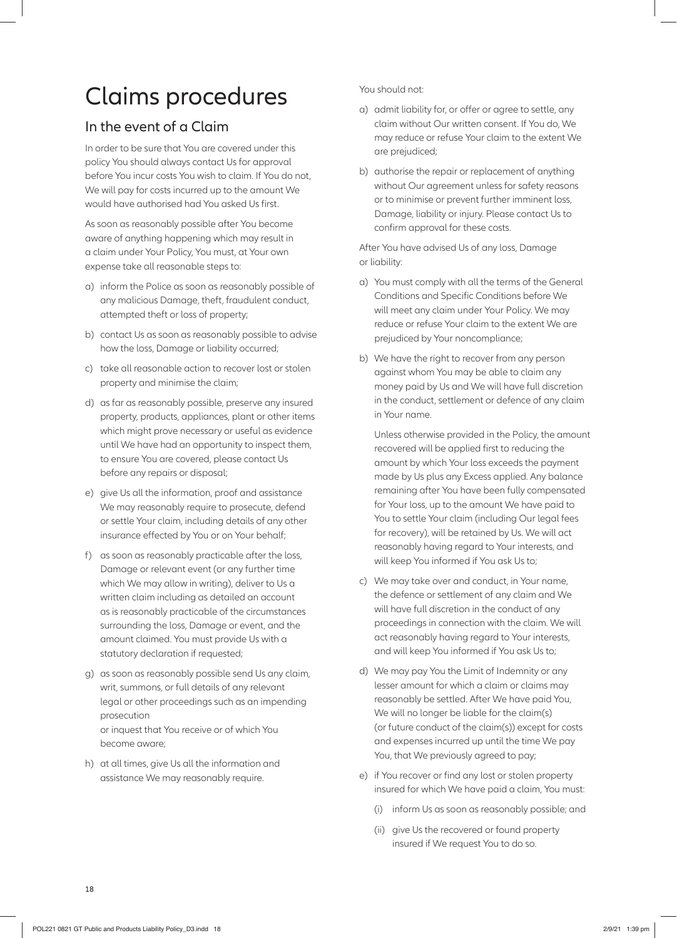## Claims procedures

## In the event of a Claim

In order to be sure that You are covered under this policy You should always contact Us for approval before You incur costs You wish to claim. If You do not, We will pay for costs incurred up to the amount We would have authorised had You asked Us first.

As soon as reasonably possible after You become aware of anything happening which may result in a claim under Your Policy, You must, at Your own expense take all reasonable steps to:

- a) inform the Police as soon as reasonably possible of any malicious Damage, theft, fraudulent conduct, attempted theft or loss of property;
- b) contact Us as soon as reasonably possible to advise how the loss, Damage or liability occurred;
- c) take all reasonable action to recover lost or stolen property and minimise the claim;
- d) as far as reasonably possible, preserve any insured property, products, appliances, plant or other items which might prove necessary or useful as evidence until We have had an opportunity to inspect them, to ensure You are covered, please contact Us before any repairs or disposal;
- e) give Us all the information, proof and assistance We may reasonably require to prosecute, defend or settle Your claim, including details of any other insurance effected by You or on Your behalf;
- f) as soon as reasonably practicable after the loss, Damage or relevant event (or any further time which We may allow in writing), deliver to Us a written claim including as detailed an account as is reasonably practicable of the circumstances surrounding the loss, Damage or event, and the amount claimed. You must provide Us with a statutory declaration if requested;
- g) as soon as reasonably possible send Us any claim, writ, summons, or full details of any relevant legal or other proceedings such as an impending prosecution or inquest that You receive or of which You become aware;
- h) at all times, give Us all the information and assistance We may reasonably require.

#### You should not:

- a) admit liability for, or offer or agree to settle, any claim without Our written consent. If You do, We may reduce or refuse Your claim to the extent We are prejudiced;
- b) authorise the repair or replacement of anything without Our agreement unless for safety reasons or to minimise or prevent further imminent loss, Damage, liability or injury. Please contact Us to confirm approval for these costs.

After You have advised Us of any loss, Damage or liability:

- a) You must comply with all the terms of the General Conditions and Specific Conditions before We will meet any claim under Your Policy. We may reduce or refuse Your claim to the extent We are prejudiced by Your noncompliance;
- b) We have the right to recover from any person against whom You may be able to claim any money paid by Us and We will have full discretion in the conduct, settlement or defence of any claim in Your name.

 Unless otherwise provided in the Policy, the amount recovered will be applied first to reducing the amount by which Your loss exceeds the payment made by Us plus any Excess applied. Any balance remaining after You have been fully compensated for Your loss, up to the amount We have paid to You to settle Your claim (including Our legal fees for recovery), will be retained by Us. We will act reasonably having regard to Your interests, and will keep You informed if You ask Us to;

- c) We may take over and conduct, in Your name, the defence or settlement of any claim and We will have full discretion in the conduct of any proceedings in connection with the claim. We will act reasonably having regard to Your interests, and will keep You informed if You ask Us to;
- d) We may pay You the Limit of Indemnity or any lesser amount for which a claim or claims may reasonably be settled. After We have paid You, We will no longer be liable for the claim(s) (or future conduct of the claim(s)) except for costs and expenses incurred up until the time We pay You, that We previously agreed to pay;
- e) if You recover or find any lost or stolen property insured for which We have paid a claim, You must:
	- (i) inform Us as soon as reasonably possible; and
	- (ii) give Us the recovered or found property insured if We request You to do so.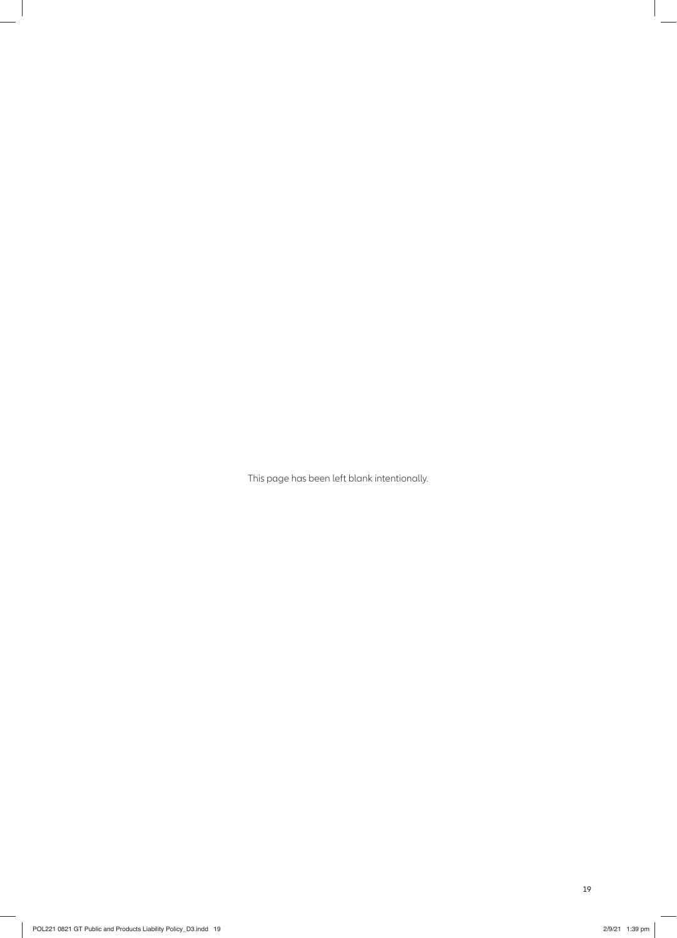This page has been left blank intentionally.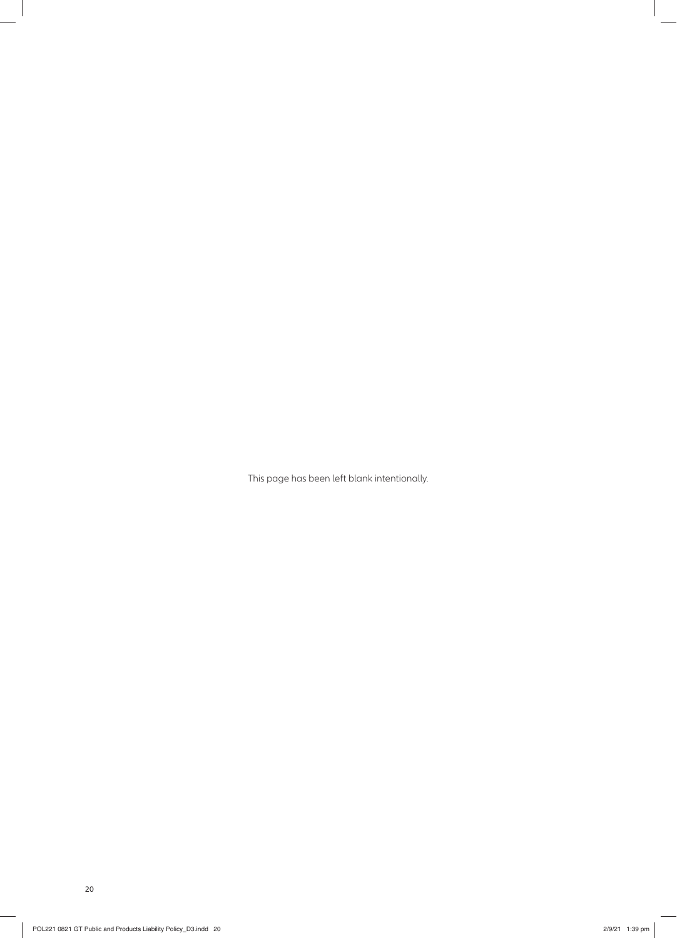This page has been left blank intentionally.